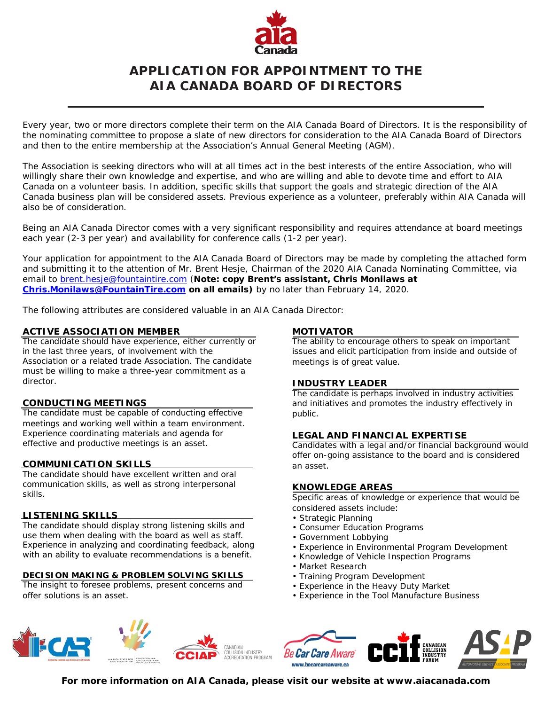

# **APPLICATION FOR APPOINTMENT TO THE AIA CANADA BOARD OF DIRECTORS**

Every year, two or more directors complete their term on the AIA Canada Board of Directors. It is the responsibility of the nominating committee to propose a slate of new directors for consideration to the AIA Canada Board of Directors and then to the entire membership at the Association's Annual General Meeting (AGM).

The Association is seeking directors who will at all times act in the best interests of the entire Association, who will willingly share their own knowledge and expertise, and who are willing and able to devote time and effort to AIA Canada on a volunteer basis. In addition, specific skills that support the goals and strategic direction of the AIA Canada business plan will be considered assets. Previous experience as a volunteer, preferably within AIA Canada will also be of consideration.

Being an AIA Canada Director comes with a very significant responsibility and requires attendance at board meetings each year (2-3 per year) and availability for conference calls (1-2 per year).

Your application for appointment to the AIA Canada Board of Directors may be made by completing the attached form and submitting it to the attention of Mr. Brent Hesje, Chairman of the 2020 AIA Canada Nominating Committee, via email to [brent.hesje@fountaintire.com](mailto:brent.hesje@fountaintire.com) (**Note: copy Brent's assistant, Chris Monilaws at [Chris.Monilaws@FountainTire.com](mailto:Chris.Monilaws@FountainTire.com) on all emails)** by no later than February 14, 2020.

The following attributes are considered valuable in an AIA Canada Director:

#### **ACTIVE ASSOCIATION MEMBER**

The candidate should have experience, either currently or in the last three years, of involvement with the Association or a related trade Association. The candidate must be willing to make a three-year commitment as a director.

#### **CONDUCTING MEETINGS**

The candidate must be capable of conducting effective meetings and working well within a team environment. Experience coordinating materials and agenda for effective and productive meetings is an asset.

#### **COMMUNICATION SKILLS**

The candidate should have excellent written and oral communication skills, as well as strong interpersonal skills.

#### **LISTENING SKILLS**

The candidate should display strong listening skills and use them when dealing with the board as well as staff. Experience in analyzing and coordinating feedback, along with an ability to evaluate recommendations is a benefit.

#### **DECISION MAKING & PROBLEM SOLVING SKILLS**

The insight to foresee problems, present concerns and offer solutions is an asset.

#### **MOTIVATOR**

The ability to encourage others to speak on important issues and elicit participation from inside and outside of meetings is of great value.

#### **INDUSTRY LEADER**

The candidate is perhaps involved in industry activities and initiatives and promotes the industry effectively in public.

### **LEGAL AND FINANCIAL EXPERTISE**

Candidates with a legal and/or financial background would offer on-going assistance to the board and is considered an asset.

#### **KNOWLEDGE AREAS**

Specific areas of knowledge or experience that would be considered assets include:

- Strategic Planning
- Consumer Education Programs
- Government Lobbying
- Experience in Environmental Program Development
- Knowledge of Vehicle Inspection Programs
- Market Research
- Training Program Development
- Experience in the Heavy Duty Market
- Experience in the Tool Manufacture Business





**For more information on AIA Canada, please visit our website at www.aiacanada.com**